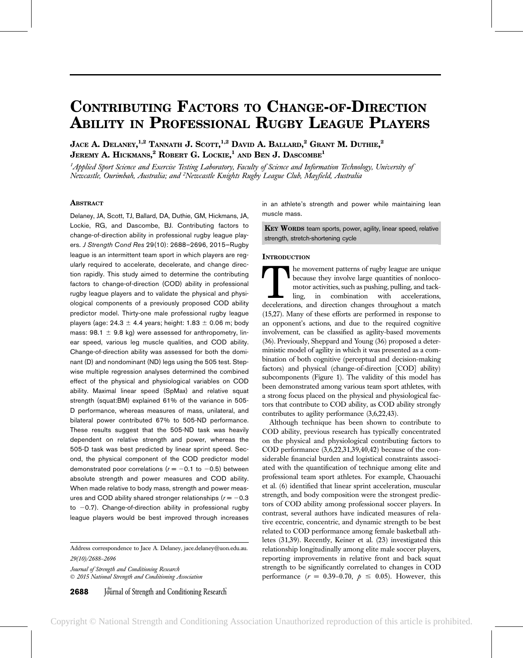# CONTRIBUTING FACTORS TO CHANGE-OF-DIRECTION ABILITY IN PROFESSIONAL RUGBY LEAGUE PLAYERS

Jace A. Delaney, $^{1,2}$  Tannath J. Scott, $^{1,2}$  David A. Ballard, $^2$  Grant M. Duthie, $^2$ Jeremy A. Hickmans, $^2$  Robert G. Lockie, $^1$  and Ben J. Dascombe $^1$ 

 $^1$ Applied Sport Science and Exercise Testing Laboratory, Faculty of Science and Information Technology, University oj Newcastle, Ourimbah, Australia; and <sup>2</sup>Newcastle Knights Rugby League Club, Mayfield, Australia

# **ABSTRACT**

Delaney, JA, Scott, TJ, Ballard, DA, Duthie, GM, Hickmans, JA, Lockie, RG, and Dascombe, BJ. Contributing factors to change-of-direction ability in professional rugby league players. J Strength Cond Res 29(10): 2688–2696, 2015—Rugby league is an intermittent team sport in which players are regularly required to accelerate, decelerate, and change direction rapidly. This study aimed to determine the contributing factors to change-of-direction (COD) ability in professional rugby league players and to validate the physical and physiological components of a previously proposed COD ability predictor model. Thirty-one male professional rugby league players (age:  $24.3 \pm 4.4$  years; height: 1.83  $\pm$  0.06 m; body mass: 98.1  $\pm$  9.8 kg) were assessed for anthropometry, linear speed, various leg muscle qualities, and COD ability. Change-of-direction ability was assessed for both the dominant (D) and nondominant (ND) legs using the 505 test. Stepwise multiple regression analyses determined the combined effect of the physical and physiological variables on COD ability. Maximal linear speed (SpMax) and relative squat strength (squat:BM) explained 61% of the variance in 505- D performance, whereas measures of mass, unilateral, and bilateral power contributed 67% to 505-ND performance. These results suggest that the 505-ND task was heavily dependent on relative strength and power, whereas the 505-D task was best predicted by linear sprint speed. Second, the physical component of the COD predictor model demonstrated poor correlations ( $r = -0.1$  to  $-0.5$ ) between absolute strength and power measures and COD ability. When made relative to body mass, strength and power measures and COD ability shared stronger relationships ( $r = -0.3$ ) to  $-0.7$ ). Change-of-direction ability in professional rugby league players would be best improved through increases

Address correspondence to Jace A. Delaney, jace.delaney@uon.edu.au. 29(10)/2688–2696

Journal of Strength and Conditioning Research 2015 National Strength and Conditioning Association



in an athlete's strength and power while maintaining lean muscle mass.

KEY WORDS team sports, power, agility, linear speed, relative strength, stretch-shortening cycle

### **INTRODUCTION**

The movement patterns of rugby league are unique<br>because they involve large quantities of nonloco-<br>motor activities, such as pushing, pulling, and tack-<br>ling, in combination with accelerations,<br>decelerations, and direction because they involve large quantities of nonlocomotor activities, such as pushing, pulling, and tackling, in combination with accelerations, (15,27). Many of these efforts are performed in response to an opponent's actions, and due to the required cognitive involvement, can be classified as agility-based movements (36). Previously, Sheppard and Young (36) proposed a deterministic model of agility in which it was presented as a combination of both cognitive (perceptual and decision-making factors) and physical (change-of-direction [COD] ability) subcomponents (Figure 1). The validity of this model has been demonstrated among various team sport athletes, with a strong focus placed on the physical and physiological factors that contribute to COD ability, as COD ability strongly contributes to agility performance (3,6,22,43).

Although technique has been shown to contribute to COD ability, previous research has typically concentrated on the physical and physiological contributing factors to COD performance (3,6,22,31,39,40,42) because of the considerable financial burden and logistical constraints associated with the quantification of technique among elite and professional team sport athletes. For example, Chaouachi et al. (6) identified that linear sprint acceleration, muscular strength, and body composition were the strongest predictors of COD ability among professional soccer players. In contrast, several authors have indicated measures of relative eccentric, concentric, and dynamic strength to be best related to COD performance among female basketball athletes (31,39). Recently, Keiner et al. (23) investigated this relationship longitudinally among elite male soccer players, reporting improvements in relative front and back squat strength to be significantly correlated to changes in COD performance  $(r = 0.39{\text -}0.70, \ p \le 0.05)$ . However, this

Copyright © National Strength and Conditioning Association Unauthorized reproduction of this article is prohibited.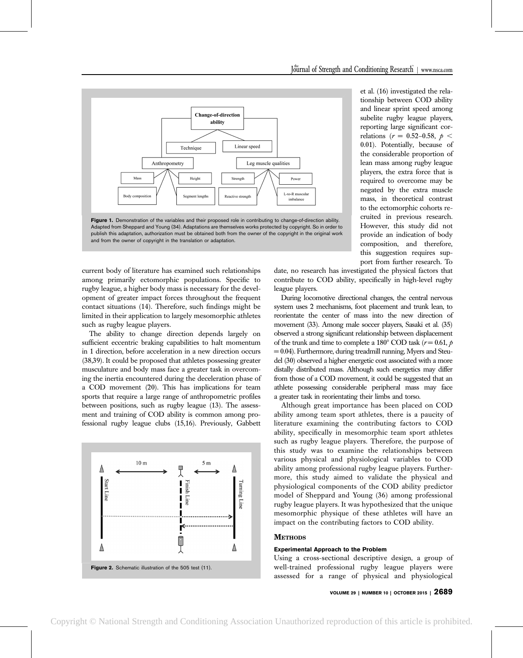

Adapted from Sheppard and Young (34). Adaptations are themselves works protected by copyright. So in order to publish this adaptation, authorization must be obtained both from the owner of the copyright in the original work and from the owner of copyright in the translation or adaptation.

current body of literature has examined such relationships among primarily ectomorphic populations. Specific to rugby league, a higher body mass is necessary for the development of greater impact forces throughout the frequent contact situations (14). Therefore, such findings might be limited in their application to largely mesomorphic athletes such as rugby league players.

The ability to change direction depends largely on sufficient eccentric braking capabilities to halt momentum in 1 direction, before acceleration in a new direction occurs (38,39). It could be proposed that athletes possessing greater musculature and body mass face a greater task in overcoming the inertia encountered during the deceleration phase of a COD movement (20). This has implications for team sports that require a large range of anthropometric profiles between positions, such as rugby league (13). The assessment and training of COD ability is common among professional rugby league clubs (15,16). Previously, Gabbett



et al. (16) investigated the relationship between COD ability and linear sprint speed among subelite rugby league players, reporting large significant correlations ( $r = 0.52{\text -}0.58$ ,  $p <$ 0.01). Potentially, because of the considerable proportion of lean mass among rugby league players, the extra force that is required to overcome may be negated by the extra muscle mass, in theoretical contrast to the ectomorphic cohorts recruited in previous research. However, this study did not provide an indication of body composition, and therefore, this suggestion requires support from further research. To

date, no research has investigated the physical factors that contribute to COD ability, specifically in high-level rugby league players.

During locomotive directional changes, the central nervous system uses 2 mechanisms, foot placement and trunk lean, to reorientate the center of mass into the new direction of movement (33). Among male soccer players, Sasaki et al. (35) observed a strong significant relationship between displacement of the trunk and time to complete a 180 $^{\circ}$  COD task (r = 0.61, p  $= 0.04$ ). Furthermore, during treadmill running, Myers and Steudel (30) observed a higher energetic cost associated with a more distally distributed mass. Although such energetics may differ from those of a COD movement, it could be suggested that an athlete possessing considerable peripheral mass may face a greater task in reorientating their limbs and torso.

Although great importance has been placed on COD ability among team sport athletes, there is a paucity of literature examining the contributing factors to COD ability, specifically in mesomorphic team sport athletes such as rugby league players. Therefore, the purpose of this study was to examine the relationships between various physical and physiological variables to COD ability among professional rugby league players. Furthermore, this study aimed to validate the physical and physiological components of the COD ability predictor model of Sheppard and Young (36) among professional rugby league players. It was hypothesized that the unique mesomorphic physique of these athletes will have an impact on the contributing factors to COD ability.

### **METHODS**

### Experimental Approach to the Problem

Using a cross-sectional descriptive design, a group of well-trained professional rugby league players were assessed for a range of physical and physiological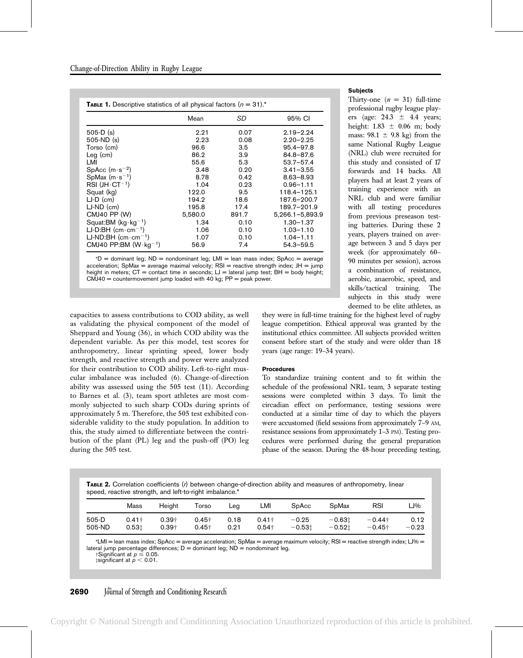| <b>TABLE 1.</b> Descriptive statistics of all physical factors $(n = 31)^*$ |         |       |                 |  |  |  |
|-----------------------------------------------------------------------------|---------|-------|-----------------|--|--|--|
|                                                                             | Mean    | SD    | 95% CI          |  |  |  |
| $505-D$ (s)                                                                 | 2.21    | 0.07  | $2.19 - 2.24$   |  |  |  |
| $505-ND(s)$                                                                 | 2.23    | 0.08  | $2.20 - 2.25$   |  |  |  |
| Torso (cm)                                                                  | 96.6    | 3.5   | $95.4 - 97.8$   |  |  |  |
| $Leg$ (cm)                                                                  | 86.2    | 3.9   | $84.8 - 87.6$   |  |  |  |
| LMI                                                                         | 55.6    | 5.3   | $53.7 - 57.4$   |  |  |  |
| $SpAcc(m \cdot s^{-2})$                                                     | 3.48    | 0.20  | $3.41 - 3.55$   |  |  |  |
| SpMax $(m \cdot s^{-1})$                                                    | 8.78    | 0.42  | $8.63 - 8.93$   |  |  |  |
| $RSI$ (JH $\cdot$ CT <sup>-1</sup> )                                        | 1.04    | 0.23  | $0.96 - 1.11$   |  |  |  |
| Squat (kg)                                                                  | 122.0   | 9.5   | 118.4-125.1     |  |  |  |
| $LJ-D$ (cm)                                                                 | 194.2   | 18.6  | 187.6-200.7     |  |  |  |
| $LJ-ND$ (cm)                                                                | 195.8   | 17.4  | 189.7-201.9     |  |  |  |
| CMJ40 PP (W)                                                                | 5,580.0 | 891.7 | 5,266.1-5,893.9 |  |  |  |
| Squat: BM $(kg \cdot kg^{-1})$                                              | 1.34    | 0.10  | $1.30 - 1.37$   |  |  |  |
| $LJ-D:BH$ (cm $\cdot$ cm <sup>-1</sup> )                                    | 1.06    | 0.10  | 1.03-1.10       |  |  |  |
| $LJ-ND:BH$ (cm $\cdot$ cm $^{-1}$ )                                         | 1.07    | 0.10  | $1.04 - 1.11$   |  |  |  |
| CMJ40 PP:BM $(W \cdot kg^{-1})$                                             | 56.9    | 7.4   | $54.3 - 59.5$   |  |  |  |

 $*D =$  dominant leg; ND = nondominant leg; LMI = lean mass index; SpAcc = average acceleration; SpMax = average maximal velocity;  $RSI$  = reactive strength index;  $JH$  = jump height in meters;  $CT =$  contact time in seconds;  $LI =$  lateral jump test;  $BH =$  body height;  $CMJ40 = countermovernment jump loaded with 40 kg; PP = peak power.$ 

capacities to assess contributions to COD ability, as well as validating the physical component of the model of Sheppard and Young (36), in which COD ability was the dependent variable. As per this model, test scores for anthropometry, linear sprinting speed, lower body strength, and reactive strength and power were analyzed for their contribution to COD ability. Left-to-right muscular imbalance was included (6). Change-of-direction ability was assessed using the 505 test (11). According to Barnes et al. (3), team sport athletes are most commonly subjected to such sharp CODs during sprints of approximately 5 m. Therefore, the 505 test exhibited considerable validity to the study population. In addition to this, the study aimed to differentiate between the contribution of the plant (PL) leg and the push-off (PO) leg during the 505 test.

# they were in full-time training for the highest level of rugby league competition. Ethical approval was granted by the institutional ethics committee. All subjects provided written consent before start of the study and were older than 18 years (age range: 19–34 years).

### Procedures

To standardize training content and to fit within the schedule of the professional NRL team, 3 separate testing sessions were completed within 3 days. To limit the circadian effect on performance, testing sessions were conducted at a similar time of day to which the players were accustomed (field sessions from approximately 7–9 AM, resistance sessions from approximately 1–3 PM). Testing procedures were performed during the general preparation phase of the season. During the 48-hour preceding testing,

TABLE 2. Correlation coefficients (r) between change-of-direction ability and measures of anthropometry, linear speed, reactive strength, and left-to-right imbalance.\*

|        | Mass          | Height  | Torso | Lea  | LMI           | SpAcc    | SpMax    | <b>RSI</b>     | LJ%     |
|--------|---------------|---------|-------|------|---------------|----------|----------|----------------|---------|
| 505-D  | $0.41\dagger$ | 0.39†   | 0.45† | 0.18 | $0.41\dagger$ | $-0.25$  | $-0.631$ | $-0.44\dagger$ | 0.12    |
| 505-ND | 0.531         | $0.39+$ | 0.45† | 0.21 | $0.54\dagger$ | $-0.531$ | $-0.521$ | $-0.45\dagger$ | $-0.23$ |

\*LMI = lean mass index; SpAcc = average acceleration; SpMax = average maximum velocity; RSI = reactive strength index; LJ% = lateral jump percentage differences;  $D =$  dominant leg;  $ND =$  nondominant leg.

†Significant at  $p \leq 0.05$ .  $\ddagger$ significant at  $p < 0.01$ .

# **2690** Journal of Strength and Conditioning Research

# Copyright © National Strength and Conditioning Association Unauthorized reproduction of this article is prohibited.

### **Subjects**

Thirty-one  $(n = 31)$  full-time professional rugby league players (age:  $24.3 \pm 4.4$  years; height:  $1.83 \pm 0.06$  m; body mass:  $98.1 \pm 9.8$  kg) from the same National Rugby League (NRL) club were recruited for this study and consisted of 17 forwards and 14 backs. All players had at least 2 years of training experience with an NRL club and were familiar with all testing procedures from previous preseason testing batteries. During these 2 years, players trained on average between 3 and 5 days per week (for approximately 60– 90 minutes per session), across a combination of resistance, aerobic, anaerobic, speed, and skills/tactical training. The subjects in this study were deemed to be elite athletes, as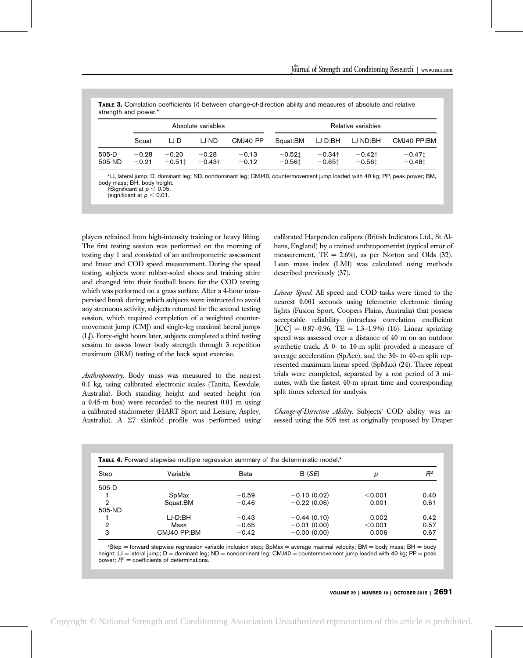|                 | Absolute variables |                     |                           |                    | Relative variables   |                            |                            |                      |
|-----------------|--------------------|---------------------|---------------------------|--------------------|----------------------|----------------------------|----------------------------|----------------------|
|                 | Squat              | LJ-D                | LJ-ND                     | CMJ40 PP           | Squat:BM             | LJ-D:BH                    | LJ-ND:BH                   | CMJ40 PP:BM          |
| 505-D<br>505-ND | $-0.28$<br>$-0.21$ | $-0.20$<br>$-0.511$ | $-0.28$<br>$-0.43\dagger$ | $-0.13$<br>$-0.12$ | $-0.521$<br>$-0.561$ | $-0.34\dagger$<br>$-0.651$ | $-0.42\dagger$<br>$-0.561$ | $-0.471$<br>$-0.481$ |

\*LJ, lateral jump; D, dominant leg; ND, nondominant leg; CMJ40, countermovement jump loaded with 40 kg; PP, peak power; BM, body mass; BH, body height.<br>Significant at  $p \leq 0.05$ .

 $\lim_{\mu \to 0.001} \frac{\mu}{\mu} = 0.001.$ 

players refrained from high-intensity training or heavy lifting. The first testing session was performed on the morning of testing day 1 and consisted of an anthropometric assessment and linear and COD speed measurement. During the speed testing, subjects wore rubber-soled shoes and training attire and changed into their football boots for the COD testing, which was performed on a grass surface. After a 4-hour unsupervised break during which subjects were instructed to avoid any strenuous activity, subjects returned for the second testing session, which required completion of a weighted countermovement jump (CMJ) and single-leg maximal lateral jumps (LJ). Forty-eight hours later, subjects completed a third testing session to assess lower body strength through 3 repetition maximum (3RM) testing of the back squat exercise.

Anthropometry. Body mass was measured to the nearest 0.1 kg, using calibrated electronic scales (Tanita, Kewdale, Australia). Both standing height and seated height (on a 0.45-m box) were recorded to the nearest 0.01 m using a calibrated stadiometer (HART Sport and Leisure, Aspley, Australia). A  $\Sigma 7$  skinfold profile was performed using calibrated Harpenden calipers (British Indicators Ltd., St Albans, England) by a trained anthropometrist (typical error of measurement,  $TE = 2.6\%$ , as per Norton and Olds (32). Lean mass index (LMI) was calculated using methods described previously (37).

Linear Speed. All speed and COD tasks were timed to the nearest 0.001 seconds using telemetric electronic timing lights (Fusion Sport, Coopers Plains, Australia) that possess acceptable reliability (intraclass correlation coefficient  $[ICC] = 0.87{\text -}0.96$ ,  $TE = 1.3{\text -}1.9\%$  (16). Linear sprinting speed was assessed over a distance of 40 m on an outdoor synthetic track. A 0- to 10-m split provided a measure of average acceleration (SpAcc), and the 30- to 40-m split represented maximum linear speed (SpMax) (24). Three repeat trials were completed, separated by a rest period of 3 minutes, with the fastest 40-m sprint time and corresponding split times selected for analysis.

Change-of-Direction Ability. Subjects' COD ability was assessed using the 505 test as originally proposed by Draper

| Step    | Variable    | <b>Beta</b> | B (SE)        | р       | $R^2$ |
|---------|-------------|-------------|---------------|---------|-------|
| $505-D$ |             |             |               |         |       |
|         | SpMax       | $-0.59$     | $-0.10(0.02)$ | < 0.001 | 0.40  |
| 2       | Squat:BM    | $-0.46$     | $-0.22(0.06)$ | 0.001   | 0.61  |
| 505-ND  |             |             |               |         |       |
|         | LJ-D:BH     | $-0.43$     | $-0.44(0.10)$ | 0.002   | 0.42  |
| 2       | Mass        | $-0.65$     | $-0.01(0.00)$ | < 0.001 | 0.57  |
| з       | CMJ40 PP:BM | $-0.42$     | $-0.00(0.00)$ | 0.006   | 0.67  |

\*Step = forward stepwise regression variable inclusion step; SpMax = average maximal velocity; BM = body mass; BH = body height; LJ = lateral jump; D = dominant leg; ND = nondominant leg; CMJ40 = countermovement jump loaded with 40 kg; PP = peak power;  $R^2$  = coefficients of determinations.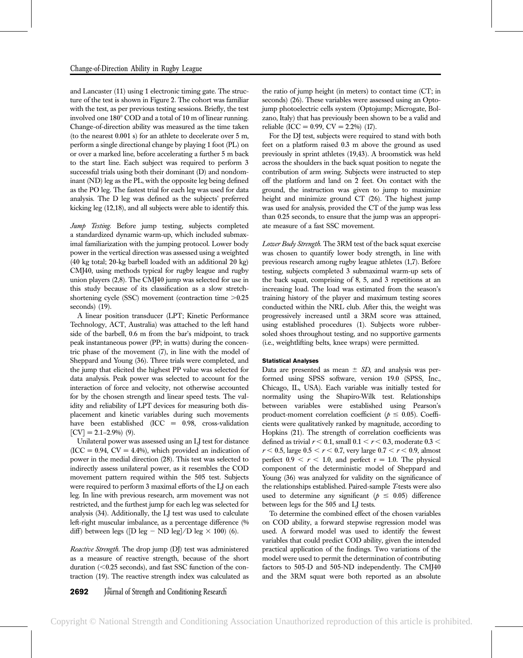and Lancaster (11) using 1 electronic timing gate. The structure of the test is shown in Figure 2. The cohort was familiar with the test, as per previous testing sessions. Briefly, the test involved one 180° COD and a total of 10 m of linear running. Change-of-direction ability was measured as the time taken (to the nearest 0.001 s) for an athlete to decelerate over 5 m, perform a single directional change by playing 1 foot (PL) on or over a marked line, before accelerating a further 5 m back to the start line. Each subject was required to perform 3 successful trials using both their dominant (D) and nondominant (ND) leg as the PL, with the opposite leg being defined as the PO leg. The fastest trial for each leg was used for data analysis. The D leg was defined as the subjects' preferred kicking leg (12,18), and all subjects were able to identify this.

Jump Testing. Before jump testing, subjects completed a standardized dynamic warm-up, which included submaximal familiarization with the jumping protocol. Lower body power in the vertical direction was assessed using a weighted (40 kg total; 20-kg barbell loaded with an additional 20 kg) CMJ40, using methods typical for rugby league and rugby union players (2,8). The CMJ40 jump was selected for use in this study because of its classification as a slow stretchshortening cycle (SSC) movement (contraction time  $>0.25$ seconds) (19).

A linear position transducer (LPT; Kinetic Performance Technology, ACT, Australia) was attached to the left hand side of the barbell, 0.6 m from the bar's midpoint, to track peak instantaneous power (PP; in watts) during the concentric phase of the movement (7), in line with the model of Sheppard and Young (36). Three trials were completed, and the jump that elicited the highest PP value was selected for data analysis. Peak power was selected to account for the interaction of force and velocity, not otherwise accounted for by the chosen strength and linear speed tests. The validity and reliability of LPT devices for measuring both displacement and kinetic variables during such movements have been established  $(ICC = 0.98, cross-validation)$  $[CV] = 2.1 - 2.9\%$  (9).

Unilateral power was assessed using an LJ test for distance  $(ICC = 0.94, CV = 4.4%)$ , which provided an indication of power in the medial direction (28). This test was selected to indirectly assess unilateral power, as it resembles the COD movement pattern required within the 505 test. Subjects were required to perform 3 maximal efforts of the LJ on each leg. In line with previous research, arm movement was not restricted, and the furthest jump for each leg was selected for analysis (34). Additionally, the LJ test was used to calculate left-right muscular imbalance, as a percentage difference (% diff) between legs ([D leg - ND leg]/D leg  $\times$  100) (6).

Reactive Strength. The drop jump (DJ) test was administered as a measure of reactive strength, because of the short duration  $( $0.25$  seconds)$ , and fast SSC function of the contraction (19). The reactive strength index was calculated as

the ratio of jump height (in meters) to contact time (CT; in seconds) (26). These variables were assessed using an Optojump photoelectric cells system (Optojump; Microgate, Bolzano, Italy) that has previously been shown to be a valid and reliable (ICC = 0.99, CV = 2.2%) (17).

For the DJ test, subjects were required to stand with both feet on a platform raised 0.3 m above the ground as used previously in sprint athletes (19,43). A broomstick was held across the shoulders in the back squat position to negate the contribution of arm swing. Subjects were instructed to step off the platform and land on 2 feet. On contact with the ground, the instruction was given to jump to maximize height and minimize ground CT (26). The highest jump was used for analysis, provided the CT of the jump was less than 0.25 seconds, to ensure that the jump was an appropriate measure of a fast SSC movement.

Lower Body Strength. The 3RM test of the back squat exercise was chosen to quantify lower body strength, in line with previous research among rugby league athletes (1,7). Before testing, subjects completed 3 submaximal warm-up sets of the back squat, comprising of 8, 5, and 3 repetitions at an increasing load. The load was estimated from the season's training history of the player and maximum testing scores conducted within the NRL club. After this, the weight was progressively increased until a 3RM score was attained, using established procedures (1). Subjects wore rubbersoled shoes throughout testing, and no supportive garments (i.e., weightlifting belts, knee wraps) were permitted.

### Statistical Analyses

Data are presented as mean  $\pm$  SD, and analysis was performed using SPSS software, version 19.0 (SPSS, Inc., Chicago, IL, USA). Each variable was initially tested for normality using the Shapiro-Wilk test. Relationships between variables were established using Pearson's product-moment correlation coefficient ( $p \leq 0.05$ ). Coefficients were qualitatively ranked by magnitude, according to Hopkins (21). The strength of correlation coefficients was defined as trivial  $r < 0.1$ , small  $0.1 < r < 0.3$ , moderate  $0.3 <$  $r < 0.5$ , large  $0.5 < r < 0.7$ , very large  $0.7 < r < 0.9$ , almost perfect  $0.9 < r < 1.0$ , and perfect r = 1.0. The physical component of the deterministic model of Sheppard and Young (36) was analyzed for validity on the significance of the relationships established. Paired-sample T-tests were also used to determine any significant ( $p \leq 0.05$ ) difference between legs for the 505 and LJ tests.

To determine the combined effect of the chosen variables on COD ability, a forward stepwise regression model was used. A forward model was used to identify the fewest variables that could predict COD ability, given the intended practical application of the findings. Two variations of the model were used to permit the determination of contributing factors to 505-D and 505-ND independently. The CMJ40 and the 3RM squat were both reported as an absolute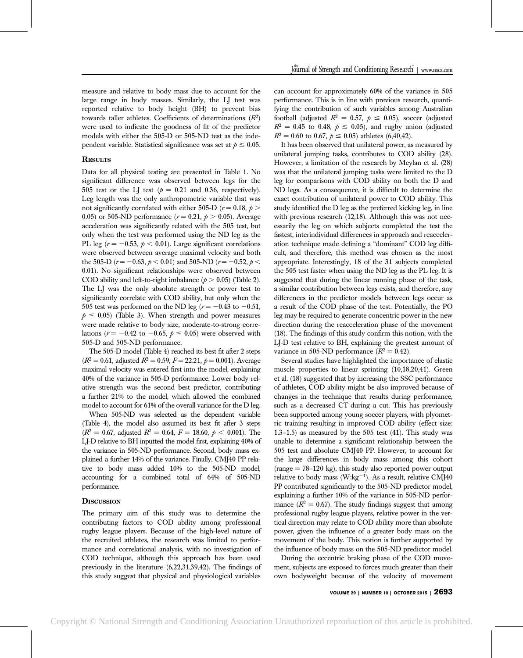measure and relative to body mass due to account for the large range in body masses. Similarly, the LJ test was reported relative to body height (BH) to prevent bias towards taller athletes. Coefficients of determinations  $(R^2)$ were used to indicate the goodness of fit of the predictor models with either the 505-D or 505-ND test as the independent variable. Statistical significance was set at  $p \le 0.05$ .

### **RESULTS**

Data for all physical testing are presented in Table 1. No significant difference was observed between legs for the 505 test or the LJ test ( $p = 0.21$  and 0.36, respectively). Leg length was the only anthropometric variable that was not significantly correlated with either 505-D ( $r = 0.18$ ,  $p >$ 0.05) or 505-ND performance  $(r = 0.21, p > 0.05)$ . Average acceleration was significantly related with the 505 test, but only when the test was performed using the ND leg as the PL leg ( $r = -0.53$ ,  $p < 0.01$ ). Large significant correlations were observed between average maximal velocity and both the 505-D ( $r = -0.63$ ,  $p < 0.01$ ) and 505-ND ( $r = -0.52$ ,  $p <$ 0.01). No significant relationships were observed between COD ability and left-to-right imbalance ( $p > 0.05$ ) (Table 2). The LJ was the only absolute strength or power test to significantly correlate with COD ability, but only when the 505 test was performed on the ND leg ( $r = -0.43$  to  $-0.51$ ,  $p \leq 0.05$ ) (Table 3). When strength and power measures were made relative to body size, moderate-to-strong correlations ( $r = -0.42$  to  $-0.65$ ,  $p \le 0.05$ ) were observed with 505-D and 505-ND performance.

The 505-D model (Table 4) reached its best fit after 2 steps  $(R^2 = 0.61$ , adjusted  $R^2 = 0.59$ ,  $F = 22.21$ ,  $p = 0.001$ ). Average maximal velocity was entered first into the model, explaining 40% of the variance in 505-D performance. Lower body relative strength was the second best predictor, contributing a further 21% to the model, which allowed the combined model to account for 61% of the overall variance for the D leg.

When 505-ND was selected as the dependent variable (Table 4), the model also assumed its best fit after 3 steps  $(R^2 = 0.67, \text{ adjusted } R^2 = 0.64, F = 18.60, \rho < 0.001).$  The LJ-D relative to BH inputted the model first, explaining 40% of the variance in 505-ND performance. Second, body mass explained a further 14% of the variance. Finally, CMJ40 PP relative to body mass added 10% to the 505-ND model, accounting for a combined total of 64% of 505-ND performance.

## **DISCUSSION**

The primary aim of this study was to determine the contributing factors to COD ability among professional rugby league players. Because of the high-level nature of the recruited athletes, the research was limited to performance and correlational analysis, with no investigation of COD technique, although this approach has been used previously in the literature (6,22,31,39,42). The findings of this study suggest that physical and physiological variables can account for approximately 60% of the variance in 505 performance. This is in line with previous research, quantifying the contribution of such variables among Australian football (adjusted  $R^2 = 0.57$ ,  $p \le 0.05$ ), soccer (adjusted  $R^2 = 0.45$  to 0.48,  $p \le 0.05$ ), and rugby union (adjusted  $R^2 = 0.60$  to 0.67,  $p \le 0.05$ ) athletes (6,40,42).

It has been observed that unilateral power, as measured by unilateral jumping tasks, contributes to COD ability (28). However, a limitation of the research by Meylan et al. (28) was that the unilateral jumping tasks were limited to the D leg for comparisons with COD ability on both the D and ND legs. As a consequence, it is difficult to determine the exact contribution of unilateral power to COD ability. This study identified the D leg as the preferred kicking leg, in line with previous research (12,18). Although this was not necessarily the leg on which subjects completed the test the fastest, interindividual differences in approach and reacceleration technique made defining a "dominant" COD leg difficult, and therefore, this method was chosen as the most appropriate. Interestingly, 18 of the 31 subjects completed the 505 test faster when using the ND leg as the PL leg. It is suggested that during the linear running phase of the task, a similar contribution between legs exists, and therefore, any differences in the predictor models between legs occur as a result of the COD phase of the test. Potentially, the PO leg may be required to generate concentric power in the new direction during the reacceleration phase of the movement (18). The findings of this study confirm this notion, with the LJ-D test relative to BH, explaining the greatest amount of variance in 505-ND performance  $(R^2 = 0.42)$ .

Several studies have highlighted the importance of elastic muscle properties to linear sprinting (10,18,20,41). Green et al. (18) suggested that by increasing the SSC performance of athletes, COD ability might be also improved because of changes in the technique that results during performance, such as a decreased CT during a cut. This has previously been supported among young soccer players, with plyometric training resulting in improved COD ability (effect size: 1.3–1.5) as measured by the 505 test (41). This study was unable to determine a significant relationship between the 505 test and absolute CMJ40 PP. However, to account for the large differences in body mass among this cohort  $(range = 78-120 kg)$ , this study also reported power output relative to body mass ( $W:kg^{-1}$ ). As a result, relative CMJ40 PP contributed significantly to the 505-ND predictor model, explaining a further 10% of the variance in 505-ND performance  $(R^2 = 0.67)$ . The study findings suggest that among professional rugby league players, relative power in the vertical direction may relate to COD ability more than absolute power, given the influence of a greater body mass on the movement of the body. This notion is further supported by the influence of body mass on the 505-ND predictor model.

During the eccentric braking phase of the COD movement, subjects are exposed to forces much greater than their own bodyweight because of the velocity of movement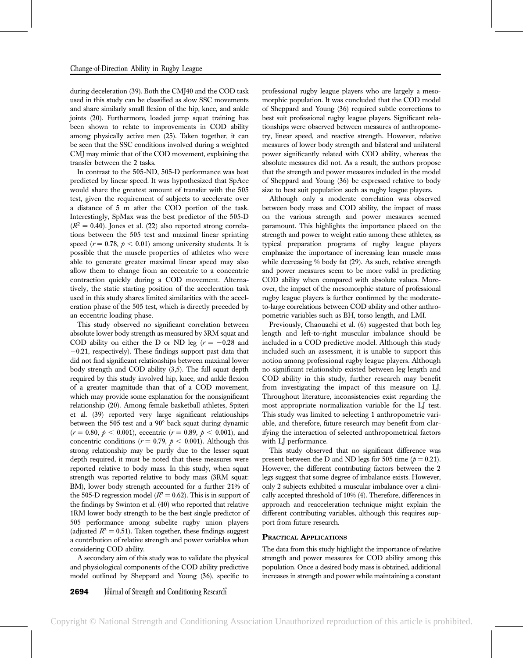during deceleration (39). Both the CMJ40 and the COD task used in this study can be classified as slow SSC movements and share similarly small flexion of the hip, knee, and ankle joints (20). Furthermore, loaded jump squat training has been shown to relate to improvements in COD ability among physically active men (25). Taken together, it can be seen that the SSC conditions involved during a weighted CMJ may mimic that of the COD movement, explaining the transfer between the 2 tasks.

In contrast to the 505-ND, 505-D performance was best predicted by linear speed. It was hypothesized that SpAcc would share the greatest amount of transfer with the 505 test, given the requirement of subjects to accelerate over a distance of 5 m after the COD portion of the task. Interestingly, SpMax was the best predictor of the 505-D  $(R^2 = 0.40)$ . Jones et al. (22) also reported strong correlations between the 505 test and maximal linear sprinting speed ( $r = 0.78$ ,  $p < 0.01$ ) among university students. It is possible that the muscle properties of athletes who were able to generate greater maximal linear speed may also allow them to change from an eccentric to a concentric contraction quickly during a COD movement. Alternatively, the static starting position of the acceleration task used in this study shares limited similarities with the acceleration phase of the 505 test, which is directly preceded by an eccentric loading phase.

This study observed no significant correlation between absolute lower body strength as measured by 3RM squat and COD ability on either the D or ND leg ( $r = -0.28$  and  $-0.21$ , respectively). These findings support past data that did not find significant relationships between maximal lower body strength and COD ability (3,5). The full squat depth required by this study involved hip, knee, and ankle flexion of a greater magnitude than that of a COD movement, which may provide some explanation for the nonsignificant relationship (20). Among female basketball athletes, Spiteri et al. (39) reported very large significant relationships between the  $505$  test and a  $90^{\circ}$  back squat during dynamic  $(r = 0.80, \, \rho < 0.001)$ , eccentric  $(r = 0.89, \, \rho < 0.001)$ , and concentric conditions ( $r = 0.79$ ,  $p < 0.001$ ). Although this strong relationship may be partly due to the lesser squat depth required, it must be noted that these measures were reported relative to body mass. In this study, when squat strength was reported relative to body mass (3RM squat: BM), lower body strength accounted for a further 21% of the 505-D regression model ( $R^2 = 0.62$ ). This is in support of the findings by Swinton et al. (40) who reported that relative 1RM lower body strength to be the best single predictor of 505 performance among subelite rugby union players (adjusted  $R^2 = 0.51$ ). Taken together, these findings suggest a contribution of relative strength and power variables when considering COD ability.

A secondary aim of this study was to validate the physical and physiological components of the COD ability predictive model outlined by Sheppard and Young (36), specific to

professional rugby league players who are largely a mesomorphic population. It was concluded that the COD model of Sheppard and Young (36) required subtle corrections to best suit professional rugby league players. Significant relationships were observed between measures of anthropometry, linear speed, and reactive strength. However, relative measures of lower body strength and bilateral and unilateral power significantly related with COD ability, whereas the absolute measures did not. As a result, the authors propose that the strength and power measures included in the model of Sheppard and Young (36) be expressed relative to body size to best suit population such as rugby league players.

Although only a moderate correlation was observed between body mass and COD ability, the impact of mass on the various strength and power measures seemed paramount. This highlights the importance placed on the strength and power to weight ratio among these athletes, as typical preparation programs of rugby league players emphasize the importance of increasing lean muscle mass while decreasing % body fat (29). As such, relative strength and power measures seem to be more valid in predicting COD ability when compared with absolute values. Moreover, the impact of the mesomorphic stature of professional rugby league players is further confirmed by the moderateto-large correlations between COD ability and other anthropometric variables such as BH, torso length, and LMI.

Previously, Chaouachi et al. (6) suggested that both leg length and left-to-right muscular imbalance should be included in a COD predictive model. Although this study included such an assessment, it is unable to support this notion among professional rugby league players. Although no significant relationship existed between leg length and COD ability in this study, further research may benefit from investigating the impact of this measure on LJ. Throughout literature, inconsistencies exist regarding the most appropriate normalization variable for the LJ test. This study was limited to selecting 1 anthropometric variable, and therefore, future research may benefit from clarifying the interaction of selected anthropometrical factors with LJ performance.

This study observed that no significant difference was present between the D and ND legs for 505 time ( $p = 0.21$ ). However, the different contributing factors between the 2 legs suggest that some degree of imbalance exists. However, only 2 subjects exhibited a muscular imbalance over a clinically accepted threshold of 10% (4). Therefore, differences in approach and reacceleration technique might explain the different contributing variables, although this requires support from future research.

# PRACTICAL APPLICATIONS

The data from this study highlight the importance of relative strength and power measures for COD ability among this population. Once a desired body mass is obtained, additional increases in strength and power while maintaining a constant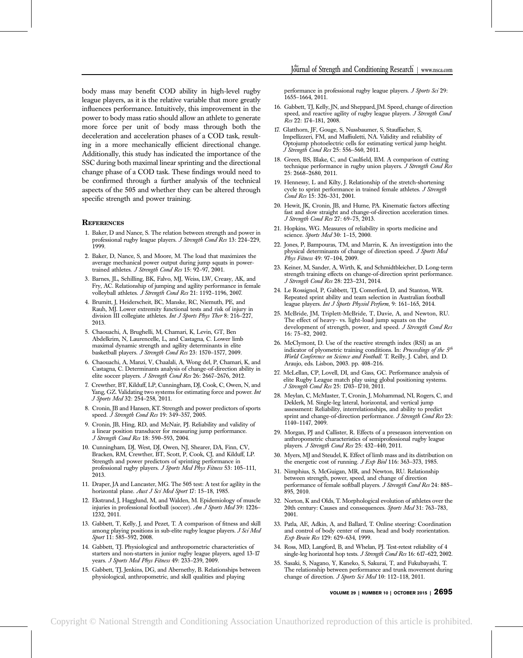body mass may benefit COD ability in high-level rugby league players, as it is the relative variable that more greatly influences performance. Intuitively, this improvement in the power to body mass ratio should allow an athlete to generate more force per unit of body mass through both the deceleration and acceleration phases of a COD task, resulting in a more mechanically efficient directional change. Additionally, this study has indicated the importance of the SSC during both maximal linear sprinting and the directional change phase of a COD task. These findings would need to be confirmed through a further analysis of the technical aspects of the 505 and whether they can be altered through specific strength and power training.

### **REFERENCES**

- 1. Baker, D and Nance, S. The relation between strength and power in professional rugby league players. J Strength Cond Res 13: 224–229, 1999.
- 2. Baker, D, Nance, S, and Moore, M. The load that maximizes the average mechanical power output during jump squats in powertrained athletes. J Strength Cond Res 15: 92-97, 2001.
- 3. Barnes, JL, Schilling, BK, Falvo, MJ, Weiss, LW, Creasy, AK, and Fry, AC. Relationship of jumping and agility performance in female volleyball athletes. J Strength Cond Res 21: 1192-1196, 2007.
- 4. Brumitt, J, Heiderscheit, BC, Manske, RC, Niemuth, PE, and Rauh, MJ. Lower extremity functional tests and risk of injury in division III collegiate athletes. Int J Sports Phys Ther 8: 216-227, 2013.
- 5. Chaouachi, A, Brughelli, M, Chamari, K, Levin, GT, Ben Abdelkrim, N, Laurencelle, L, and Castagna, C. Lower limb maximal dynamic strength and agility determinants in elite basketball players. J Strength Cond Res 23: 1570–1577, 2009.
- 6. Chaouachi, A, Manzi, V, Chaalali, A, Wong del, P, Chamari, K, and Castagna, C. Determinants analysis of change-of-direction ability in elite soccer players. J Strength Cond Res 26: 2667–2676, 2012.
- 7. Crewther, BT, Kilduff, LP, Cunningham, DJ, Cook, C, Owen, N, and Yang, GZ. Validating two systems for estimating force and power. Int J Sports Med 32: 254–258, 2011.
- 8. Cronin, JB and Hansen, KT. Strength and power predictors of sports speed. J Strength Cond Res 19: 349-357, 2005.
- 9. Cronin, JB, Hing, RD, and McNair, PJ. Reliability and validity of a linear position transducer for measuring jump performance. J Strength Cond Res 18: 590–593, 2004.
- 10. Cunningham, DJ, West, DJ, Owen, NJ, Shearer, DA, Finn, CV, Bracken, RM, Crewther, BT, Scott, P, Cook, CJ, and Kilduff, LP. Strength and power predictors of sprinting performance in professional rugby players. J Sports Med Phys Fitness 53: 105-111, 2013.
- 11. Draper, JA and Lancaster, MG. The 505 test: A test for agility in the horizontal plane. Aust J Sci Med Sport 17: 15-18, 1985.
- 12. Ekstrand, J, Hagglund, M, and Walden, M. Epidemiology of muscle injuries in professional football (soccer). Am J Sports Med 39: 1226– 1232, 2011.
- 13. Gabbett, T, Kelly, J, and Pezet, T. A comparison of fitness and skill among playing positions in sub-elite rugby league players. J Sci Med Sport 11: 585-592, 2008.
- 14. Gabbett, TJ. Physiological and anthropometric characteristics of starters and non-starters in junior rugby league players, aged 13-17 years. J Sports Med Phys Fitness 49: 233-239, 2009.
- 15. Gabbett, TJ, Jenkins, DG, and Abernethy, B. Relationships between physiological, anthropometric, and skill qualities and playing

performance in professional rugby league players. *J Sports Sci* 29: 1655–1664, 2011.

- 16. Gabbett, TJ, Kelly, JN, and Sheppard, JM. Speed, change of direction speed, and reactive agility of rugby league players. J Strength Cond Res 22: 174–181, 2008.
- 17. Glatthorn, JF, Gouge, S, Nussbaumer, S, Stauffacher, S, Impellizzeri, FM, and Maffiuletti, NA. Validity and reliability of Optojump photoelectric cells for estimating vertical jump height. J Strength Cond Res 25: 556–560, 2011.
- 18. Green, BS, Blake, C, and Caulfield, BM. A comparison of cutting technique performance in rugby union players. J Strength Cond Res 25: 2668–2680, 2011.
- 19. Hennessy, L and Kilty, J. Relationship of the stretch-shortening cycle to sprint performance in trained female athletes. J Strength Cond Res 15: 326–331, 2001.
- 20. Hewit, JK, Cronin, JB, and Hume, PA. Kinematic factors affecting fast and slow straight and change-of-direction acceleration times. J Strength Cond Res 27: 69–75, 2013.
- 21. Hopkins, WG. Measures of reliability in sports medicine and science. Sports Med 30: 1-15, 2000.
- 22. Jones, P, Bampouras, TM, and Marrin, K. An investigation into the physical determinants of change of direction speed. J Sports Med Phys Fitness 49: 97–104, 2009.
- 23. Keiner, M, Sander, A, Wirth, K, and Schmidtbleicher, D. Long-term strength training effects on change-of-direction sprint performance. J Strength Cond Res 28: 223–231, 2014.
- 24. Le Rossignol, P, Gabbett, TJ, Comerford, D, and Stanton, WR. Repeated sprint ability and team selection in Australian football league players. Int J Sports Physiol Perform, 9: 161-165, 2014.
- 25. McBride, JM, Triplett-McBride, T, Davie, A, and Newton, RU. The effect of heavy- vs. light-load jump squats on the development of strength, power, and speed. J Strength Cond Res 16: 75–82, 2002.
- 26. McClymont, D. Use of the reactive strength index (RSI) as an indicator of plyometric training conditions. In: Proceedings of the 5th World Conference on Science and Football. T. Reilly, J. Cabri, and D. Araujo, eds. Lisbon, 2003. pp. 408–216.
- 27. McLellan, CP, Lovell, DI, and Gass, GC. Performance analysis of elite Rugby League match play using global positioning systems. J Strength Cond Res 25: 1703–1710, 2011.
- 28. Meylan, C, McMaster, T, Cronin, J, Mohammad, NI, Rogers, C, and Deklerk, M. Single-leg lateral, horizontal, and vertical jump assessment: Reliability, interrelationships, and ability to predict sprint and change-of-direction performance. J Strength Cond Res 23: 1140–1147, 2009.
- 29. Morgan, PJ and Callister, R. Effects of a preseason intervention on anthropometric characteristics of semiprofessional rugby league players. J Strength Cond Res 25: 432–440, 2011.
- 30. Myers, MJ and Steudel, K. Effect of limb mass and its distribution on the energetic cost of running. J Exp Biol 116: 363-373, 1985.
- 31. Nimphius, S, McGuigan, MR, and Newton, RU. Relationship between strength, power, speed, and change of direction performance of female softball players. J Strength Cond Res 24: 885-895, 2010.
- 32. Norton, K and Olds, T. Morphological evolution of athletes over the 20th century: Causes and consequences. Sports Med 31: 763-783, 2001.
- 33. Patla, AE, Adkin, A, and Ballard, T. Online steering: Coordination and control of body center of mass, head and body reorientation. Exp Brain Res 129: 629–634, 1999.
- 34. Ross, MD, Langford, B, and Whelan, PJ. Test-retest reliability of 4 single-leg horizontal hop tests. J Strength Cond Res 16: 617-622, 2002.
- 35. Sasaki, S, Nagano, Y, Kaneko, S, Sakurai, T, and Fukubayashi, T. The relationship between performance and trunk movement during change of direction. J Sports Sci Med 10: 112-118, 2011.

VOLUME 29 | NUMBER 10 | OCTOBER 2015 | 2695